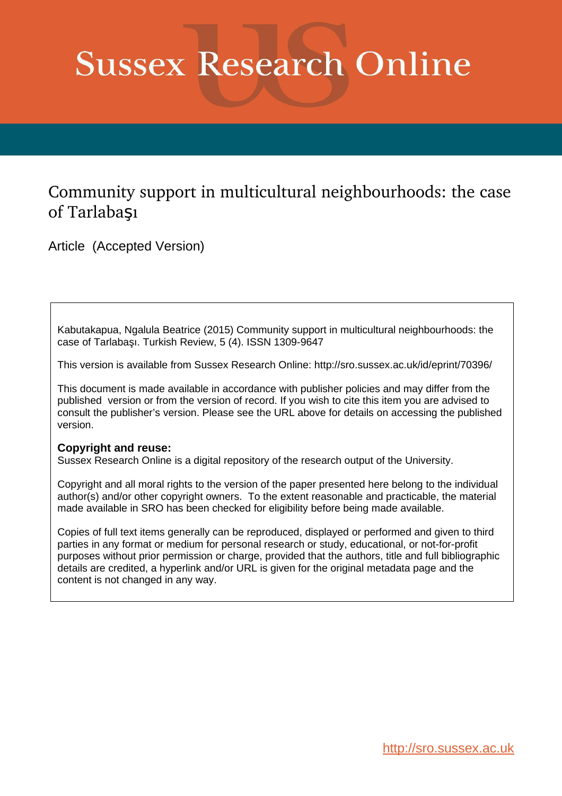# **Sussex Research Online**

# Community support in multicultural neighbourhoods: the case of Tarlabaşı

Article (Accepted Version)

Kabutakapua, Ngalula Beatrice (2015) Community support in multicultural neighbourhoods: the case of Tarlabaşı. Turkish Review, 5 (4). ISSN 1309-9647

This version is available from Sussex Research Online: http://sro.sussex.ac.uk/id/eprint/70396/

This document is made available in accordance with publisher policies and may differ from the published version or from the version of record. If you wish to cite this item you are advised to consult the publisher's version. Please see the URL above for details on accessing the published version.

#### **Copyright and reuse:**

Sussex Research Online is a digital repository of the research output of the University.

Copyright and all moral rights to the version of the paper presented here belong to the individual author(s) and/or other copyright owners. To the extent reasonable and practicable, the material made available in SRO has been checked for eligibility before being made available.

Copies of full text items generally can be reproduced, displayed or performed and given to third parties in any format or medium for personal research or study, educational, or not-for-profit purposes without prior permission or charge, provided that the authors, title and full bibliographic details are credited, a hyperlink and/or URL is given for the original metadata page and the content is not changed in any way.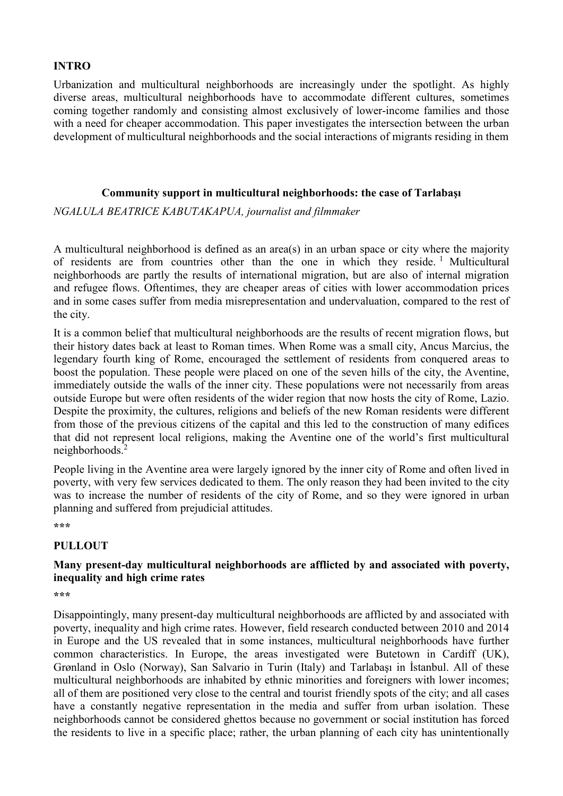### **INTRO**

Urbanization and multicultural neighborhoods are increasingly under the spotlight. As highly diverse areas, multicultural neighborhoods have to accommodate different cultures, sometimes coming together randomly and consisting almost exclusively of lower-income families and those with a need for cheaper accommodation. This paper investigates the intersection between the urban development of multicultural neighborhoods and the social interactions of migrants residing in them

#### **Community support in multicultural neighborhoods: the case of Tarlabaşı**

## *NGALULA BEATRICE KABUTAKAPUA, journalist and filmmaker*

A multicultural neighborhood is defined as an area(s) in an urban space or city where the majority of residents are from countries other than the one in which they reside.<sup>1</sup> Multicultural neighborhoods are partly the results of international migration, but are also of internal migration and refugee flows. Oftentimes, they are cheaper areas of cities with lower accommodation prices and in some cases suffer from media misrepresentation and undervaluation, compared to the rest of the city.

It is a common belief that multicultural neighborhoods are the results of recent migration flows, but their history dates back at least to Roman times. When Rome was a small city, Ancus Marcius, the legendary fourth king of Rome, encouraged the settlement of residents from conquered areas to boost the population. These people were placed on one of the seven hills of the city, the Aventine, immediately outside the walls of the inner city. These populations were not necessarily from areas outside Europe but were often residents of the wider region that now hosts the city of Rome, Lazio. Despite the proximity, the cultures, religions and beliefs of the new Roman residents were different from those of the previous citizens of the capital and this led to the construction of many edifices that did not represent local religions, making the Aventine one of the world's first multicultural neighborhoods. 2

People living in the Aventine area were largely ignored by the inner city of Rome and often lived in poverty, with very few services dedicated to them. The only reason they had been invited to the city was to increase the number of residents of the city of Rome, and so they were ignored in urban planning and suffered from prejudicial attitudes.

**\*\*\***

#### **PULLOUT**

#### **Many present-day multicultural neighborhoods are afflicted by and associated with poverty, inequality and high crime rates**

**\*\*\***

Disappointingly, many present-day multicultural neighborhoods are afflicted by and associated with poverty, inequality and high crime rates. However, field research conducted between 2010 and 2014 in Europe and the US revealed that in some instances, multicultural neighborhoods have further common characteristics. In Europe, the areas investigated were Butetown in Cardiff (UK), Grønland in Oslo (Norway), San Salvario in Turin (Italy) and Tarlabaşı in İstanbul. All of these multicultural neighborhoods are inhabited by ethnic minorities and foreigners with lower incomes; all of them are positioned very close to the central and tourist friendly spots of the city; and all cases have a constantly negative representation in the media and suffer from urban isolation. These neighborhoods cannot be considered ghettos because no government or social institution has forced the residents to live in a specific place; rather, the urban planning of each city has unintentionally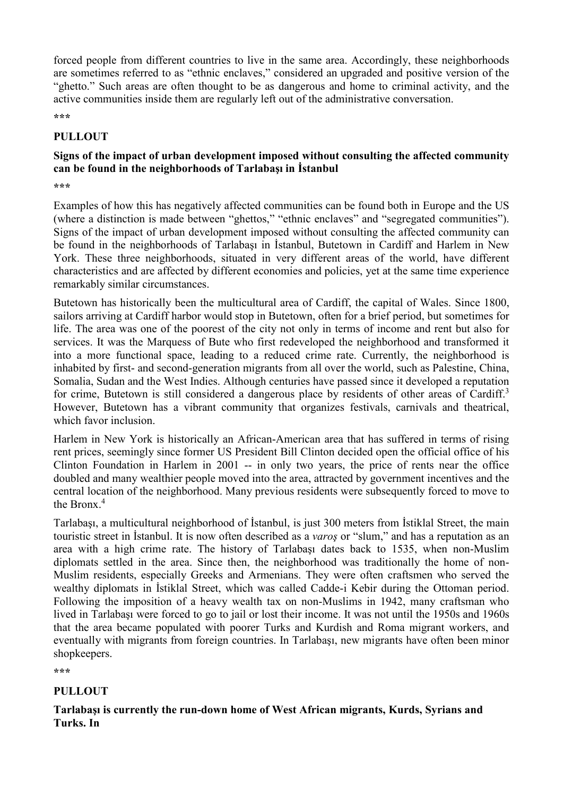forced people from different countries to live in the same area. Accordingly, these neighborhoods are sometimes referred to as "ethnic enclaves," considered an upgraded and positive version of the "ghetto." Such areas are often thought to be as dangerous and home to criminal activity, and the active communities inside them are regularly left out of the administrative conversation.

**\*\*\***

#### **PULLOUT**

### **Signs of the impact of urban development imposed without consulting the affected community can be found in the neighborhoods of Tarlabaşı in İstanbul**

**\*\*\***

Examples of how this has negatively affected communities can be found both in Europe and the US (where a distinction is made between "ghettos," "ethnic enclaves" and "segregated communities"). Signs of the impact of urban development imposed without consulting the affected community can be found in the neighborhoods of Tarlabaşı in İstanbul, Butetown in Cardiff and Harlem in New York. These three neighborhoods, situated in very different areas of the world, have different characteristics and are affected by different economies and policies, yet at the same time experience remarkably similar circumstances.

Butetown has historically been the multicultural area of Cardiff, the capital of Wales. Since 1800, sailors arriving at Cardiff harbor would stop in Butetown, often for a brief period, but sometimes for life. The area was one of the poorest of the city not only in terms of income and rent but also for services. It was the Marquess of Bute who first redeveloped the neighborhood and transformed it into a more functional space, leading to a reduced crime rate. Currently, the neighborhood is inhabited by first- and second-generation migrants from all over the world, such as Palestine, China, Somalia, Sudan and the West Indies. Although centuries have passed since it developed a reputation for crime, Butetown is still considered a dangerous place by residents of other areas of Cardiff.<sup>3</sup> However, Butetown has a vibrant community that organizes festivals, carnivals and theatrical, which favor inclusion.

Harlem in New York is historically an African-American area that has suffered in terms of rising rent prices, seemingly since former US President Bill Clinton decided open the official office of his Clinton Foundation in Harlem in 2001 -- in only two years, the price of rents near the office doubled and many wealthier people moved into the area, attracted by government incentives and the central location of the neighborhood. Many previous residents were subsequently forced to move to the Bronx. 4

Tarlabaşı, a multicultural neighborhood of İstanbul, is just 300 meters from İstiklal Street, the main touristic street in İstanbul. It is now often described as a *varoş* or "slum," and has a reputation as an area with a high crime rate. The history of Tarlabaşı dates back to 1535, when non-Muslim diplomats settled in the area. Since then, the neighborhood was traditionally the home of non-Muslim residents, especially Greeks and Armenians. They were often craftsmen who served the wealthy diplomats in İstiklal Street, which was called Cadde-i Kebir during the Ottoman period. Following the imposition of a heavy wealth tax on non-Muslims in 1942, many craftsman who lived in Tarlabaşı were forced to go to jail or lost their income. It was not until the 1950s and 1960s that the area became populated with poorer Turks and Kurdish and Roma migrant workers, and eventually with migrants from foreign countries. In Tarlabaşı, new migrants have often been minor shopkeepers.

**\*\*\***

#### **PULLOUT**

#### **Tarlabaşı is currently the run-down home of West African migrants, Kurds, Syrians and Turks. In**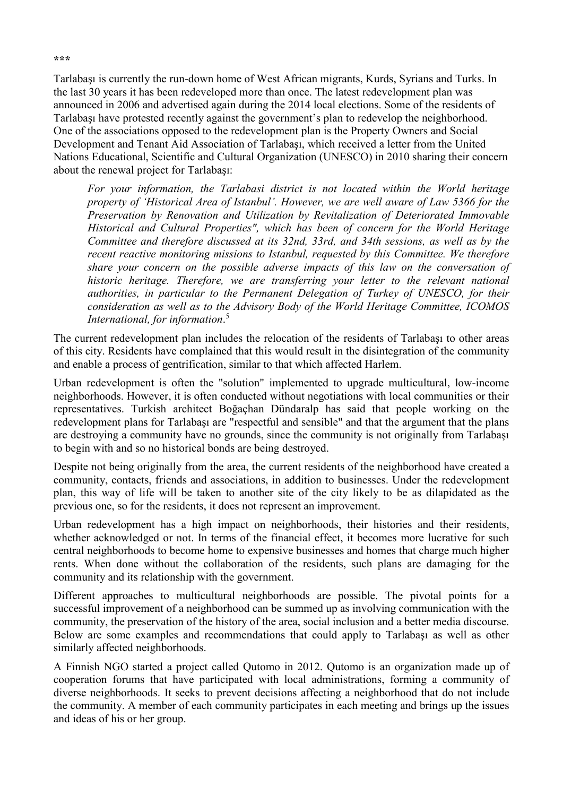Tarlabaşı is currently the run-down home of West African migrants, Kurds, Syrians and Turks. In the last 30 years it has been redeveloped more than once. The latest redevelopment plan was announced in 2006 and advertised again during the 2014 local elections. Some of the residents of Tarlabaşı have protested recently against the government's plan to redevelop the neighborhood. One of the associations opposed to the redevelopment plan is the Property Owners and Social Development and Tenant Aid Association of Tarlabaşı, which received a letter from the United Nations Educational, Scientific and Cultural Organization (UNESCO) in 2010 sharing their concern about the renewal project for Tarlabaşı:

*For your information, the Tarlabasi district is not located within the World heritage property of 'Historical Area of Istanbul'. However, we are well aware of Law 5366 for the Preservation by Renovation and Utilization by Revitalization of Deteriorated Immovable Historical and Cultural Properties", which has been of concern for the World Heritage Committee and therefore discussed at its 32nd, 33rd, and 34th sessions, as well as by the recent reactive monitoring missions to Istanbul, requested by this Committee. We therefore share your concern on the possible adverse impacts of this law on the conversation of historic heritage. Therefore, we are transferring your letter to the relevant national authorities, in particular to the Permanent Delegation of Turkey of UNESCO, for their consideration as well as to the Advisory Body of the World Heritage Committee, ICOMOS International, for information*. 5

The current redevelopment plan includes the relocation of the residents of Tarlabaşı to other areas of this city. Residents have complained that this would result in the disintegration of the community and enable a process of gentrification, similar to that which affected Harlem.

Urban redevelopment is often the "solution" implemented to upgrade multicultural, low-income neighborhoods. However, it is often conducted without negotiations with local communities or their representatives. Turkish architect Boğaçhan Dündaralp has said that people working on the redevelopment plans for Tarlabaşı are "respectful and sensible" and that the argument that the plans are destroying a community have no grounds, since the community is not originally from Tarlabaşı to begin with and so no historical bonds are being destroyed.

Despite not being originally from the area, the current residents of the neighborhood have created a community, contacts, friends and associations, in addition to businesses. Under the redevelopment plan, this way of life will be taken to another site of the city likely to be as dilapidated as the previous one, so for the residents, it does not represent an improvement.

Urban redevelopment has a high impact on neighborhoods, their histories and their residents, whether acknowledged or not. In terms of the financial effect, it becomes more lucrative for such central neighborhoods to become home to expensive businesses and homes that charge much higher rents. When done without the collaboration of the residents, such plans are damaging for the community and its relationship with the government.

Different approaches to multicultural neighborhoods are possible. The pivotal points for a successful improvement of a neighborhood can be summed up as involving communication with the community, the preservation of the history of the area, social inclusion and a better media discourse. Below are some examples and recommendations that could apply to Tarlabaşı as well as other similarly affected neighborhoods.

A Finnish NGO started a project called Qutomo in 2012. Qutomo is an organization made up of cooperation forums that have participated with local administrations, forming a community of diverse neighborhoods. It seeks to prevent decisions affecting a neighborhood that do not include the community. A member of each community participates in each meeting and brings up the issues and ideas of his or her group.